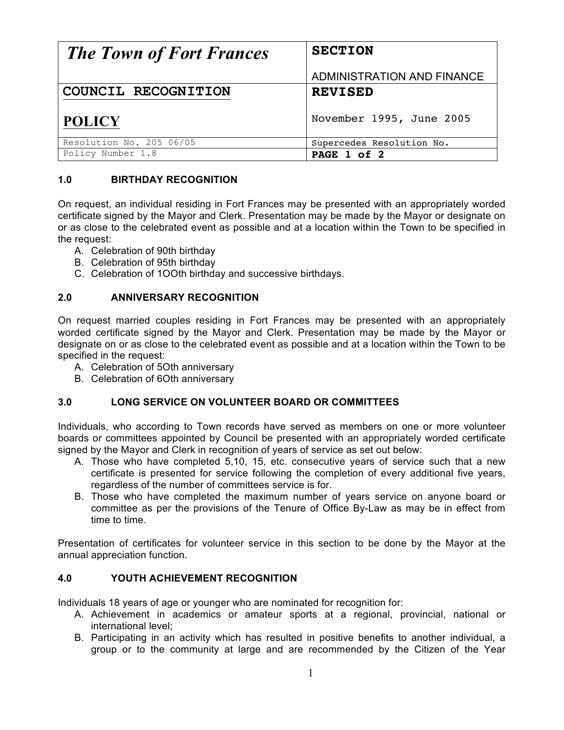| <b>The Town of Fort Frances</b> | <b>SECTION</b>             |
|---------------------------------|----------------------------|
|                                 | ADMINISTRATION AND FINANCE |
| COUNCIL RECOGNITION             | <b>REVISED</b>             |
| <b>POLICY</b>                   | November 1995, June 2005   |
| Resolution No. 205 06/05        | Supercedes Resolution No.  |
| Policy Number 1.8               | PAGE 1 of 2                |

# **1.0 BIRTHDAY RECOGNITION**

On request, an individual residing in Fort Frances may be presented with an appropriately worded certificate signed by the Mayor and Clerk. Presentation may be made by the Mayor or designate on or as close to the celebrated event as possible and at a location within the Town to be specified in the request:

- A. Celebration of 90th birthday
- B. Celebration of 95th birthday
- C. Celebration of 1OOth birthday and successive birthdays.

# **2.0 ANNIVERSARY RECOGNITION**

On request married couples residing in Fort Frances may be presented with an appropriately worded certificate signed by the Mayor and Clerk. Presentation may be made by the Mayor or designate on or as close to the celebrated event as possible and at a location within the Town to be specified in the request:

- A. Celebration of 5Oth anniversary
- B. Celebration of 6Oth anniversary

# **3.0 LONG SERVICE ON VOLUNTEER BOARD OR COMMITTEES**

Individuals, who according to Town records have served as members on one or more volunteer boards or committees appointed by Council be presented with an appropriately worded certificate signed by the Mayor and Clerk in recognition of years of service as set out below:

- A. Those who have completed 5,10, 15, etc. consecutive years of service such that a new certificate is presented for service following the completion of every additional five years, regardless of the number of committees service is for.
- B. Those who have completed the maximum number of years service on anyone board or committee as per the provisions of the Tenure of Office By-Law as may be in effect from time to time.

Presentation of certificates for volunteer service in this section to be done by the Mayor at the annual appreciation function.

# **4.0 YOUTH ACHIEVEMENT RECOGNITION**

Individuals 18 years of age or younger who are nominated for recognition for:

- A. Achievement in academics or amateur sports at a regional, provincial, national or international level;
- B. Participating in an activity which has resulted in positive benefits to another individual, a group or to the community at large and are recommended by the Citizen of the Year